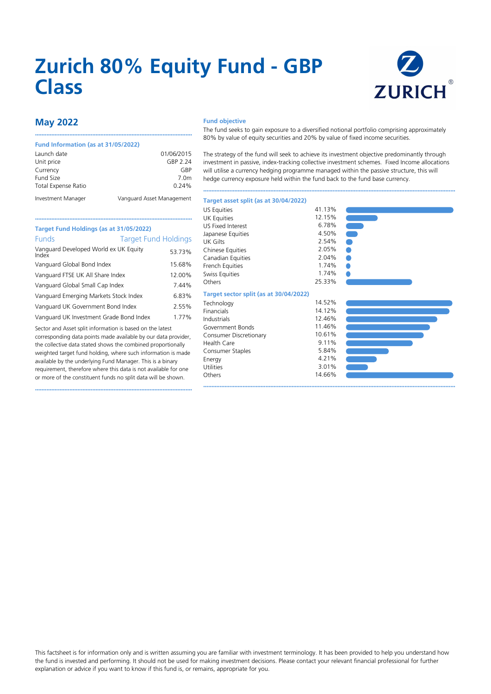# **Zurich 80% Equity Fund - GBP Class**



## **May 2022**

#### **Fund Information (as at 31/05/2022)**

| Launch date                | 01/06/2015                |
|----------------------------|---------------------------|
| Unit price                 | GBP 2.24                  |
| Currency                   | GRP                       |
| Fund Size                  | 7.0m                      |
| <b>Total Expense Ratio</b> | 0.24%                     |
| Investment Manager         | Vanguard Asset Management |

••••••••••••••••••••••••••••••••••••••••••••••••••••••••••••••••••••••••••••••••••••••••••••••••

### **Fund objective**

The fund seeks to gain exposure to a diversified notional portfolio comprising approximately 80% by value of equity securities and 20% by value of fixed income securities.

The strategy of the fund will seek to achieve its investment objective predominantly through investment in passive, index-tracking collective investment schemes. Fixed Income allocations will utilise a currency hedging programme managed within the passive structure, this will hedge currency exposure held within the fund back to the fund base currency.

••••••••••••••••••••••••••••••••••••••••••••••••••••••••••••••••••••••••••••••••••••••••••••••••••••••••••••••••••••••••••••••••••••••••••••••••••••••••••

••••••••••••••••••••••••••••••••••••••••••••••••••••••••••••••••••••••••••••••••••••••••••••••••••••••••••••••••••••••••••••••••••••••••••••••••••••••••••

## •••••••••••••••••••••••••••••••••••••••••••••••••••••••••••••••••••••••••••••••••••••••••••••••• **Target Fund Holdings (as at 31/05/2022)** Funds Target Fund Holdings Vanguard Developed World ex UK Equity Index 53.73% Vanguard Global Bond Index 15.68% Vanguard FTSE UK All Share Index 12.00% Vanguard Global Small Cap Index 7.44% Vanguard Emerging Markets Stock Index 6.83% Vanguard UK Government Bond Index 2.55% Vanguard UK Investment Grade Bond Index 1.77%

Sector and Asset split information is based on the latest corresponding data points made available by our data provider, the collective data stated shows the combined proportionally weighted target fund holding, where such information is made available by the underlying Fund Manager. This is a binary requirement, therefore where this data is not available for one or more of the constituent funds no split data will be shown.

••••••••••••••••••••••••••••••••••••••••••••••••••••••••••••••••••••••••••••••••••••••••••••••••

#### US Equities 41.13%<br>IIK Equities 12.15% UK Equities 12.15% 12.15% US Fixed Interest 6.78% 6.78% Japanese Equities 4.50%<br>1 IK Gilts 2.54% UK Gilts 2.54% 2.54% Chinese Equities 2.05%<br>Canadian Fquities 2.04% Canadian Equities 2.04%<br>French Equities 1.74% French Equities 1.74%<br>Swiss Equities 1.74% Swiss Equities Others 25.33% **Target sector split (as at 30/04/2022)** Technology 14.52%<br>
Financials 14.12% Financials 14.12%<br>12.46% 10.45% 12.46% Industrials 12.46%<br>Government Bonds 11.46% Government Bonds Consumer Discretionary 10.61%<br>Health Care 9.11% Health Care 9.11% Consumer Staples 5.84% Energy 4.21% 4.21% Utilities Others 14.66%

**Target asset split (as at 30/04/2022)**